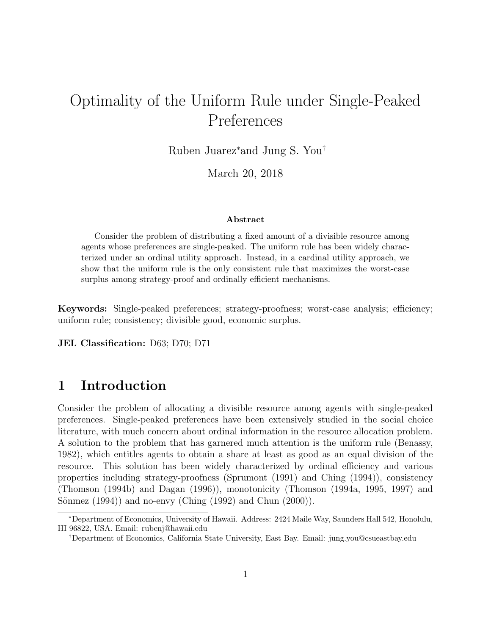# Optimality of the Uniform Rule under Single-Peaked Preferences

Ruben Juarez<sup>∗</sup>and Jung S. You†

March 20, 2018

#### Abstract

Consider the problem of distributing a fixed amount of a divisible resource among agents whose preferences are single-peaked. The uniform rule has been widely characterized under an ordinal utility approach. Instead, in a cardinal utility approach, we show that the uniform rule is the only consistent rule that maximizes the worst-case surplus among strategy-proof and ordinally efficient mechanisms.

Keywords: Single-peaked preferences; strategy-proofness; worst-case analysis; efficiency; uniform rule; consistency; divisible good, economic surplus.

JEL Classification: D63; D70; D71

# 1 Introduction

Consider the problem of allocating a divisible resource among agents with single-peaked preferences. Single-peaked preferences have been extensively studied in the social choice literature, with much concern about ordinal information in the resource allocation problem. A solution to the problem that has garnered much attention is the uniform rule (Benassy, 1982), which entitles agents to obtain a share at least as good as an equal division of the resource. This solution has been widely characterized by ordinal efficiency and various properties including strategy-proofness (Sprumont (1991) and Ching (1994)), consistency (Thomson (1994b) and Dagan (1996)), monotonicity (Thomson (1994a, 1995, 1997) and Sönmez  $(1994)$  and no-envy (Ching  $(1992)$  and Chun  $(2000)$ ).

<sup>∗</sup>Department of Economics, University of Hawaii. Address: 2424 Maile Way, Saunders Hall 542, Honolulu, HI 96822, USA. Email: rubenj@hawaii.edu

<sup>†</sup>Department of Economics, California State University, East Bay. Email: jung.you@csueastbay.edu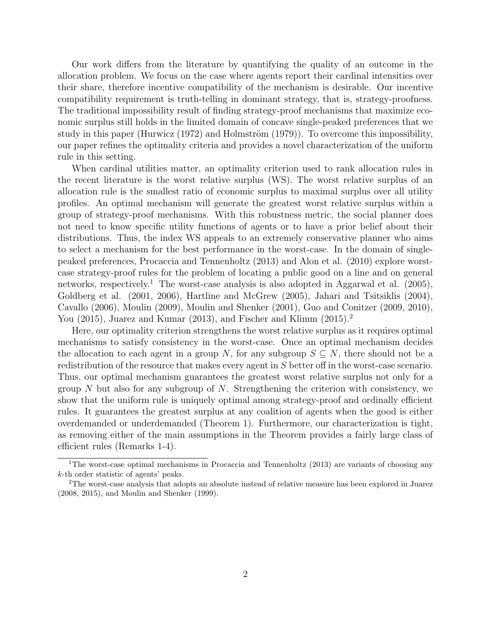Our work differs from the literature by quantifying the quality of an outcome in the allocation problem. We focus on the case where agents report their cardinal intensities over their share, therefore incentive compatibility of the mechanism is desirable. Our incentive compatibility requirement is truth-telling in dominant strategy, that is, strategy-proofness. The traditional impossibility result of finding strategy-proof mechanisms that maximize economic surplus still holds in the limited domain of concave single-peaked preferences that we study in this paper (Hurwicz  $(1972)$  and Holmström  $(1979)$ ). To overcome this impossibility, our paper refines the optimality criteria and provides a novel characterization of the uniform rule in this setting.

When cardinal utilities matter, an optimality criterion used to rank allocation rules in the recent literature is the worst relative surplus (WS). The worst relative surplus of an allocation rule is the smallest ratio of economic surplus to maximal surplus over all utility profiles. An optimal mechanism will generate the greatest worst relative surplus within a group of strategy-proof mechanisms. With this robustness metric, the social planner does not need to know specific utility functions of agents or to have a prior belief about their distributions. Thus, the index WS appeals to an extremely conservative planner who aims to select a mechanism for the best performance in the worst-case. In the domain of singlepeaked preferences, Procaccia and Tennenholtz (2013) and Alon et al. (2010) explore worstcase strategy-proof rules for the problem of locating a public good on a line and on general networks, respectively.<sup>1</sup> The worst-case analysis is also adopted in Aggarwal et al.  $(2005)$ , Goldberg et al. (2001, 2006), Hartline and McGrew (2005), Jahari and Tsitsiklis (2004), Cavallo (2006), Moulin (2009), Moulin and Shenker (2001), Guo and Conitzer (2009, 2010), You  $(2015)$ , Juarez and Kumar  $(2013)$ , and Fischer and Klimm  $(2015)$ .

Here, our optimality criterion strengthens the worst relative surplus as it requires optimal mechanisms to satisfy consistency in the worst-case. Once an optimal mechanism decides the allocation to each agent in a group N, for any subgroup  $S \subseteq N$ , there should not be a redistribution of the resource that makes every agent in S better off in the worst-case scenario. Thus, our optimal mechanism guarantees the greatest worst relative surplus not only for a group N but also for any subgroup of N. Strengthening the criterion with consistency, we show that the uniform rule is uniquely optimal among strategy-proof and ordinally efficient rules. It guarantees the greatest surplus at any coalition of agents when the good is either overdemanded or underdemanded (Theorem 1). Furthermore, our characterization is tight, as removing either of the main assumptions in the Theorem provides a fairly large class of efficient rules (Remarks 1-4).

<sup>&</sup>lt;sup>1</sup>The worst-case optimal mechanisms in Procaccia and Tennenholtz  $(2013)$  are variants of choosing any k-th order statistic of agents' peaks.

<sup>2</sup>The worst-case analysis that adopts an absolute instead of relative measure has been explored in Juarez (2008, 2015), and Moulin and Shenker (1999).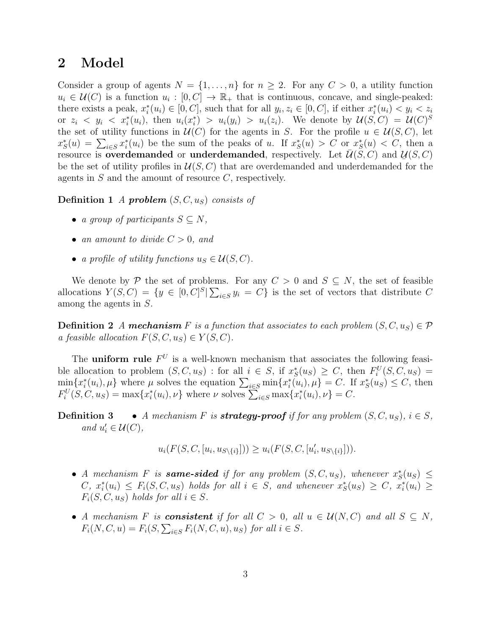### 2 Model

Consider a group of agents  $N = \{1, \ldots, n\}$  for  $n \geq 2$ . For any  $C > 0$ , a utility function  $u_i \in \mathcal{U}(C)$  is a function  $u_i : [0, C] \to \mathbb{R}_+$  that is continuous, concave, and single-peaked: there exists a peak,  $x_i^*(u_i) \in [0, C]$ , such that for all  $y_i, z_i \in [0, C]$ , if either  $x_i^*(u_i) < y_i < z_i$ or  $z_i \leq y_i \leq x_i^*(u_i)$ , then  $u_i(x_i^*) > u_i(y_i) > u_i(z_i)$ . We denote by  $\mathcal{U}(S, C) = \mathcal{U}(C)^S$ the set of utility functions in  $\mathcal{U}(C)$  for the agents in S. For the profile  $u \in \mathcal{U}(S, C)$ , let  $x_S^*(u) = \sum_{i \in S} x_i^*(u_i)$  be the sum of the peaks of u. If  $x_S^*(u) > C$  or  $x_S^*(u) < C$ , then a resource is **overdemanded** or **underdemanded**, respectively. Let  $\overline{U}(S, C)$  and  $U(S, C)$ be the set of utility profiles in  $\mathcal{U}(S, C)$  that are overdemanded and underdemanded for the agents in  $S$  and the amount of resource  $C$ , respectively.

**Definition 1** A **problem**  $(S, C, u<sub>S</sub>)$  consists of

- a group of participants  $S \subseteq N$ ,
- an amount to divide  $C > 0$ , and
- a profile of utility functions  $u_S \in \mathcal{U}(S, C)$ .

We denote by P the set of problems. For any  $C > 0$  and  $S \subseteq N$ , the set of feasible allocations  $Y(S, C) = \{y \in [0, C]^S | \sum_{i \in S} y_i = C\}$  is the set of vectors that distribute C among the agents in S.

**Definition 2** A mechanism F is a function that associates to each problem  $(S, C, u_S) \in \mathcal{P}$ a feasible allocation  $F(S, C, u_S) \in Y(S, C)$ .

The **uniform rule**  $F^U$  is a well-known mechanism that associates the following feasible allocation to problem  $(S, C, u_S)$ : for all  $i \in S$ , if  $x_S^*(u_S) \geq C$ , then  $F_i^U(S, C, u_S)$  =  $\min_{i} \{x_i^*(u_i), \mu\}$  where  $\mu$  solves the equation  $\sum_{i \in S} \min \{x_i^*(u_i), \mu\} = C$ . If  $x_S^*(u_S) \leq C$ , then  $F_i^U(S, C, u_S) = \max\{x_i^*(u_i), \nu\}$  where  $\nu$  solves  $\sum_{i \in S} \max\{x_i^*(u_i), \nu\} = C$ .

**Definition 3** • A mechanism F is **strategy-proof** if for any problem  $(S, C, u_S)$ ,  $i \in S$ , and  $u'_i \in \mathcal{U}(C)$ ,

$$
u_i(F(S, C, [u_i, u_{S \setminus \{i\}}])) \geq u_i(F(S, C, [u'_i, u_{S \setminus \{i\}}])).
$$

- A mechanism F is same-sided if for any problem  $(S, C, u<sub>S</sub>)$ , whenever  $x<sub>S</sub><sup>*</sup>(u<sub>S</sub>) \leq$  $C, x_i^*(u_i) \leq F_i(S, C, u_S)$  holds for all  $i \in S$ , and whenever  $x_S^*(u_S) \geq C, x_i^*(u_i) \geq$  $F_i(S, C, u_S)$  holds for all  $i \in S$ .
- A mechanism F is **consistent** if for all  $C > 0$ , all  $u \in U(N, C)$  and all  $S \subset N$ ,  $F_i(N, C, u) = F_i(S, \sum_{i \in S} F_i(N, C, u), u_S)$  for all  $i \in S$ .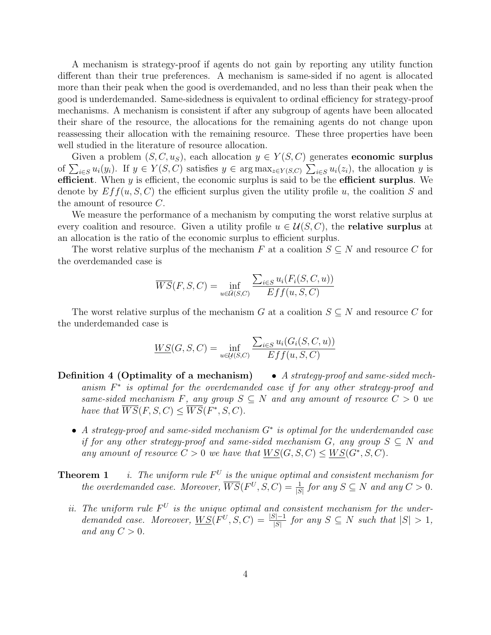A mechanism is strategy-proof if agents do not gain by reporting any utility function different than their true preferences. A mechanism is same-sided if no agent is allocated more than their peak when the good is overdemanded, and no less than their peak when the good is underdemanded. Same-sidedness is equivalent to ordinal efficiency for strategy-proof mechanisms. A mechanism is consistent if after any subgroup of agents have been allocated their share of the resource, the allocations for the remaining agents do not change upon reassessing their allocation with the remaining resource. These three properties have been well studied in the literature of resource allocation.

Given a problem  $(S, C, u<sub>S</sub>)$ , each allocation  $y \in Y(S, C)$  generates **economic surplus** of  $\sum_{i\in S} u_i(y_i)$ . If  $y \in Y(S, C)$  satisfies  $y \in \arg \max_{z \in Y(S, C)} \sum_{i\in S} u_i(z_i)$ , the allocation y is efficient. When  $y$  is efficient, the economic surplus is said to be the efficient surplus. We denote by  $Eff(u, S, C)$  the efficient surplus given the utility profile u, the coalition S and the amount of resource  $C$ .

We measure the performance of a mechanism by computing the worst relative surplus at every coalition and resource. Given a utility profile  $u \in \mathcal{U}(S, C)$ , the **relative surplus** at an allocation is the ratio of the economic surplus to efficient surplus.

The worst relative surplus of the mechanism F at a coalition  $S \subseteq N$  and resource C for the overdemanded case is

$$
\overline{WS}(F, S, C) = \inf_{u \in \overline{U}(S, C)} \frac{\sum_{i \in S} u_i(F_i(S, C, u))}{Eff(u, S, C)}
$$

The worst relative surplus of the mechanism G at a coalition  $S \subseteq N$  and resource C for the underdemanded case is

$$
\underline{WS}(G, S, C) = \inf_{u \in \mathcal{U}(S, C)} \frac{\sum_{i \in S} u_i(G_i(S, C, u))}{Eff(u, S, C)}
$$

- **Definition 4 (Optimality of a mechanism)** A strategy-proof and same-sided mechanism  $F^*$  is optimal for the overdemanded case if for any other strategy-proof and same-sided mechanism F, any group  $S \subseteq N$  and any amount of resource  $C > 0$  we have that  $\overline{WS}(F, S, C) \leq \overline{WS}(F^*, S, C)$ .
	- A strategy-proof and same-sided mechanism G<sup>∗</sup> is optimal for the underdemanded case if for any other strategy-proof and same-sided mechanism G, any group  $S \subseteq N$  and any amount of resource  $C > 0$  we have that  $W S(G, S, C) \le W S(G^*, S, C)$ .
- **Theorem 1** i. The uniform rule  $F^U$  is the unique optimal and consistent mechanism for the overdemanded case. Moreover,  $\overline{WS}(F^U, S, C) = \frac{1}{|S|}$  for any  $S \subseteq N$  and any  $C > 0$ .
	- ii. The uniform rule  $F^U$  is the unique optimal and consistent mechanism for the underdemanded case. Moreover,  $\underline{WS}(F^U, S, C) = \frac{|S|-1}{|S|}$  for any  $S \subseteq N$  such that  $|S| > 1$ , and any  $C > 0$ .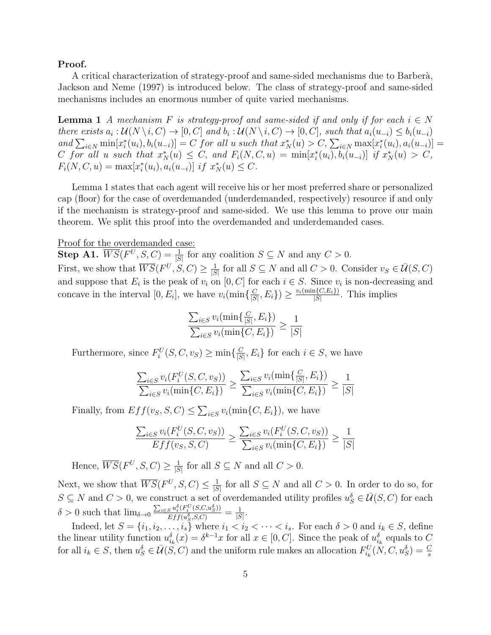### Proof.

A critical characterization of strategy-proof and same-sided mechanisms due to Barberà, Jackson and Neme (1997) is introduced below. The class of strategy-proof and same-sided mechanisms includes an enormous number of quite varied mechanisms.

**Lemma 1** A mechanism F is strategy-proof and same-sided if and only if for each  $i \in N$ there exists  $a_i: \mathcal{U}(N \setminus i, C) \to [0, C]$  and  $b_i: \mathcal{U}(N \setminus i, C) \to [0, C]$ , such that  $a_i(u_{-i}) \leq b_i(u_{-i})$ and  $\sum_{i \in N} \min[x_i^*(u_i), b_i(u_{-i})] = C$  for all u such that  $x_N^*(u) > C$ ,  $\sum_{i \in N} \max[x_i^*(u_i), a_i(u_{-i})] = C$ C for all u such that  $x_N^*(u) \leq C$ , and  $F_i(N, C, u) = \min[x_i^*(u_i), b_i(u_{-i})]$  if  $x_N^*(u) > C$ ,  $F_i(N, C, u) = \max[x_i^*(u_i), a_i(u_{-i})]$  if  $x_N^*(u) \leq C$ .

Lemma 1 states that each agent will receive his or her most preferred share or personalized cap (floor) for the case of overdemanded (underdemanded, respectively) resource if and only if the mechanism is strategy-proof and same-sided. We use this lemma to prove our main theorem. We split this proof into the overdemanded and underdemanded cases.

Proof for the overdemanded case:

**Step A1.**  $\overline{WS}(F^U, S, C) = \frac{1}{|S|}$  for any coalition  $S \subseteq N$  and any  $C > 0$ . First, we show that  $\overline{WS}(F^U, S, C) \geq \frac{1}{18}$  $\frac{1}{|S|}$  for all  $S \subseteq N$  and all  $C > 0$ . Consider  $v_S \in \overline{\mathcal{U}}(S, C)$ and suppose that  $E_i$  is the peak of  $v_i$  on  $[0, C]$  for each  $i \in S$ . Since  $v_i$  is non-decreasing and concave in the interval [0,  $E_i$ ], we have  $v_i(\min\{\frac{C}{|S|}\})$  $\left(\frac{C}{|S|}, E_i\right) \geq \frac{v_i(\min\{C, E_i\})}{|S|}$  $\frac{N(C, E_i)}{|S|}$ . This implies

$$
\frac{\sum_{i \in S} v_i(\min\{\frac{C}{|S|}, E_i\})}{\sum_{i \in S} v_i(\min\{C, E_i\})} \ge \frac{1}{|S|}
$$

Furthermore, since  $F_i^U(S, C, v_S) \ge \min\{\frac{C}{|S|}\}$  $\frac{C}{|S|}, E_i$  for each  $i \in S$ , we have

$$
\frac{\sum_{i \in S} v_i(F_i^U(S, C, v_S))}{\sum_{i \in S} v_i(\min\{C, E_i\})} \ge \frac{\sum_{i \in S} v_i(\min\{\frac{C}{|S|}, E_i\})}{\sum_{i \in S} v_i(\min\{C, E_i\})} \ge \frac{1}{|S|}
$$

Finally, from  $Eff(v_S, S, C) \leq \sum_{i \in S} v_i(\min\{C, E_i\})$ , we have

$$
\frac{\sum_{i \in S} v_i(F_i^U(S, C, v_S))}{Eff(v_S, S, C)} \ge \frac{\sum_{i \in S} v_i(F_i^U(S, C, v_S))}{\sum_{i \in S} v_i(\min\{C, E_i\})} \ge \frac{1}{|S|}
$$

Hence,  $\overline{WS}(F^U, S, C) \geq \frac{1}{15}$  $\frac{1}{|S|}$  for all  $S \subseteq N$  and all  $C > 0$ .

Next, we show that  $\overline{WS}(F^U, S, C) \leq \frac{1}{|S|}$  $\frac{1}{|S|}$  for all  $S \subseteq N$  and all  $C > 0$ . In order to do so, for  $S \subseteq N$  and  $C > 0$ , we construct a set of overdemanded utility profiles  $u_S^{\delta} \in \overline{\mathcal{U}}(S, C)$  for each  $\delta > 0$  such that  $\lim_{\delta \to 0} \frac{\sum_{i \in S} u_i^{\delta}(F_i^U(S, C, u_S^{\delta}))}{E f f(u^{\delta} S C)}$  $\frac{S^{u_i^o(F_i^o(S, C, u_S^o))}}{Eff(u_S^{\delta}, S, C)} = \frac{1}{|S|}$  $\frac{1}{|S|}$ .

Indeed, let  $S = \{i_1, i_2, \ldots, i_s\}$  where  $i_1 < i_2 < \cdots < i_s$ . For each  $\delta > 0$  and  $i_k \in S$ , define the linear utility function  $u_{i_k}^{\delta}(x) = \delta^{k-1}x$  for all  $x \in [0, C]$ . Since the peak of  $u_{i_k}^{\delta}$  equals to C for all  $i_k \in S$ , then  $u_S^{\delta} \in \bar{U}(\hat{S}, C)$  and the uniform rule makes an allocation  $F_{i_k}^U(\hat{N}, C, u_S^{\delta}) = \frac{C}{s}$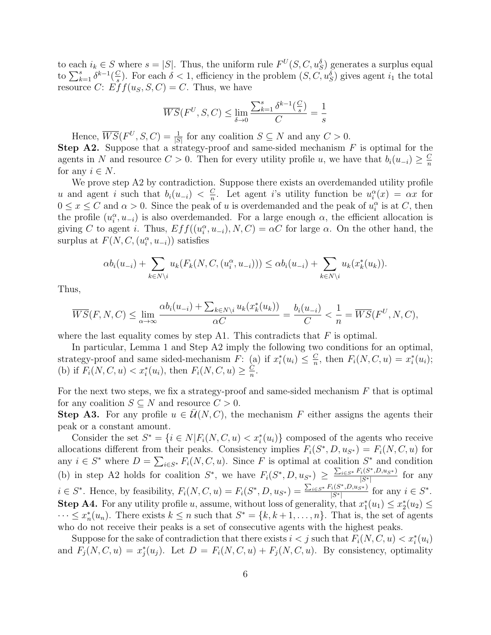to each  $i_k \in S$  where  $s = |S|$ . Thus, the uniform rule  $F^U(S, C, u_S^{\delta})$  generates a surplus equal to  $\sum_{k=1}^s \delta^{k-1}(\frac{C}{s})$  $\frac{C}{s}$ ). For each  $\delta < 1$ , efficiency in the problem  $(S, C, u_S^{\delta})$  gives agent  $i_1$  the total resource C:  $Eff(u<sub>S</sub>, S, C) = C$ . Thus, we have

$$
\overline{WS}(F^U,S,C)\leq \lim_{\delta\to 0}\frac{\sum_{k=1}^s\delta^{k-1}(\frac{C}{s})}{C}=\frac{1}{s}
$$

Hence,  $\overline{WS}(F^U, S, C) = \frac{1}{|S|}$  for any coalition  $S \subseteq N$  and any  $C > 0$ .

**Step A2.** Suppose that a strategy-proof and same-sided mechanism  $F$  is optimal for the agents in N and resource  $C > 0$ . Then for every utility profile u, we have that  $b_i(u_{-i}) \geq \frac{C}{n}$ n for any  $i \in N$ .

We prove step A2 by contradiction. Suppose there exists an overdemanded utility profile u and agent i such that  $b_i(u_{-i}) < \frac{C}{n}$  $\frac{C}{n}$ . Let agent *i*'s utility function be  $u_i^{\alpha}(x) = \alpha x$  for  $0 \le x \le C$  and  $\alpha > 0$ . Since the peak of u is overdemanded and the peak of  $u_i^{\alpha}$  is at C, then the profile  $(u_i^{\alpha}, u_{-i})$  is also overdemanded. For a large enough  $\alpha$ , the efficient allocation is giving C to agent i. Thus,  $Eff((u_i^{\alpha}, u_{-i}), N, C) = \alpha C$  for large  $\alpha$ . On the other hand, the surplus at  $F(N, C, (u_i^{\alpha}, u_{-i}))$  satisfies

$$
\alpha b_i(u_{-i}) + \sum_{k \in N \setminus i} u_k(F_k(N, C, (u_i^{\alpha}, u_{-i}))) \leq \alpha b_i(u_{-i}) + \sum_{k \in N \setminus i} u_k(x_k^*(u_k)).
$$

Thus,

$$
\overline{WS}(F, N, C) \le \lim_{\alpha \to \infty} \frac{\alpha b_i(u_{-i}) + \sum_{k \in N \setminus i} u_k(x_k^*(u_k))}{\alpha C} = \frac{b_i(u_{-i})}{C} < \frac{1}{n} = \overline{WS}(F^U, N, C),
$$

where the last equality comes by step A1. This contradicts that  $F$  is optimal.

In particular, Lemma 1 and Step A2 imply the following two conditions for an optimal, strategy-proof and same sided-mechanism F: (a) if  $x_i^*(u_i) \leq \frac{C}{n}$  $\frac{C}{n}$ , then  $F_i(N, C, u) = x_i^*(u_i);$ (b) if  $F_i(N, C, u) < x_i^*(u_i)$ , then  $F_i(N, C, u) \geq \frac{C}{n}$  $\frac{C}{n}$ .

For the next two steps, we fix a strategy-proof and same-sided mechanism  $F$  that is optimal for any coalition  $S \subseteq N$  and resource  $C > 0$ .

**Step A3.** For any profile  $u \in \bar{\mathcal{U}}(N, C)$ , the mechanism F either assigns the agents their peak or a constant amount.

Consider the set  $S^* = \{i \in N | F_i(N, C, u) < x_i^*(u_i) \}$  composed of the agents who receive allocations different from their peaks. Consistency implies  $F_i(S^*, D, u_{S^*}) = F_i(N, C, u)$  for any  $i \in S^*$  where  $D = \sum_{i \in S^*} F_i(N, C, u)$ . Since F is optimal at coalition  $S^*$  and condition (b) in step A2 holds for coalition  $S^*$ , we have  $F_i(S^*, D, u_{S^*}) \geq \frac{\sum_{i \in S^*} F_i(S^*, D, u_{S^*})}{|S^*|}$  $\frac{i(S, D, u_{S^*})}{|S^*|}$  for any  $i \in S^*$ . Hence, by feasibility,  $F_i(N, C, u) = F_i(S^*, D, u_{S^*}) = \frac{\sum_{i \in S^*} F_i(S^*, D, u_{S^*})}{|S^*|}$  $\frac{i(S^*, D, u_{S^*})}{|S^*|}$  for any  $i \in S^*$ . **Step A4.** For any utility profile u, assume, without loss of generality, that  $x_1^*(u_1) \leq x_2^*(u_2) \leq$  $\cdots \leq x_n^*(u_n)$ . There exists  $k \leq n$  such that  $S^* = \{k, k+1, \ldots, n\}$ . That is, the set of agents who do not receive their peaks is a set of consecutive agents with the highest peaks.

Suppose for the sake of contradiction that there exists  $i < j$  such that  $F_i(N, C, u) < x_i^*(u_i)$ and  $F_j(N, C, u) = x_j^*(u_j)$ . Let  $D = F_i(N, C, u) + F_j(N, C, u)$ . By consistency, optimality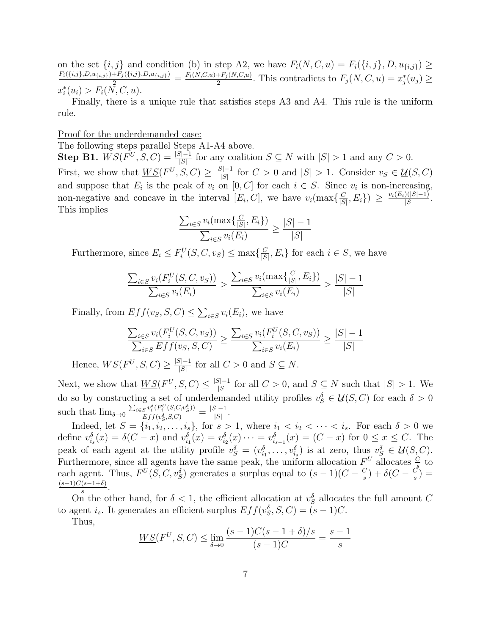on the set  $\{i, j\}$  and condition (b) in step A2, we have  $F_i(N, C, u) = F_i(\{i, j\}, D, u_{\{i, j\}}) \geq$  $\frac{F_i(\{i,j\},D,u_{\{i,j\}})+F_j(\{i,j\},D,u_{\{i,j\}})}{2} = \frac{F_i(N,C,u)+F_j(N,C,u)}{2}$  $\frac{F+F_j(N,C,u)}{2}$ . This contradicts to  $F_j(N,C,u) = x_j^*(u_j) \geq$  $x_i^*(u_i) > F_i(\overline{N}, C, u).$ 

Finally, there is a unique rule that satisfies steps A3 and A4. This rule is the uniform rule.

### Proof for the underdemanded case:

The following steps parallel Steps A1-A4 above.

**Step B1.**  $\underline{WS}(F^U, S, C) = \frac{|S|-1}{|S|}$  for any coalition  $S \subseteq N$  with  $|S| > 1$  and any  $C > 0$ . First, we show that  $W S(F^U, S, C) \geq \frac{|S|-1}{|S|}$  $\frac{|S|-1}{|S|}$  for  $C > 0$  and  $|S| > 1$ . Consider  $v_S \in \underline{\mathcal{U}}(S, C)$ and suppose that  $E_i$  is the peak of  $v_i$  on  $[0, C]$  for each  $i \in S$ . Since  $v_i$  is non-increasing, non-negative and concave in the interval  $[E_i, C]$ , we have  $v_i(\max\{\frac{C}{|S|}\})$  $\frac{C}{|S|},E_i\}) \geq \frac{v_i(E_i)(|S|-1)}{|S|}$  $\frac{|S|-1|}{|S|}$ . This implies

$$
\frac{\sum_{i \in S} v_i(\max\{\frac{C}{|S|}, E_i\})}{\sum_{i \in S} v_i(E_i)} \ge \frac{|S| - 1}{|S|}
$$

Furthermore, since  $E_i \leq F_i^U(S, C, v_S) \leq \max\{\frac{C}{|S|}\}$  $\frac{C}{|S|}, E_i$  for each  $i \in S$ , we have

$$
\frac{\sum_{i \in S} v_i(F_i^U(S, C, v_S))}{\sum_{i \in S} v_i(E_i)} \ge \frac{\sum_{i \in S} v_i(\max\{\frac{C}{|S|}, E_i\})}{\sum_{i \in S} v_i(E_i)} \ge \frac{|S| - 1}{|S|}
$$

Finally, from  $Eff(v_S, S, C) \leq \sum_{i \in S} v_i(E_i)$ , we have

$$
\frac{\sum_{i \in S} v_i(F_i^U(S, C, v_S))}{\sum_{i \in S} Eff(v_S, S, C)} \ge \frac{\sum_{i \in S} v_i(F_i^U(S, C, v_S))}{\sum_{i \in S} v_i(E_i)} \ge \frac{|S| - 1}{|S|}
$$

Hence,  $W S(F^U, S, C) \ge \frac{|S|-1}{|S|}$  $\frac{|S|-1}{|S|}$  for all  $C > 0$  and  $S \subseteq N$ .

Next, we show that  $\underline{WS}(F^U, S, C) \leq \frac{|S|-1}{|S|}$  $\frac{|S|-1}{|S|}$  for all  $C > 0$ , and  $S \subseteq N$  such that  $|S| > 1$ . We do so by constructing a set of underdemanded utility profiles  $v_S^{\delta} \in \mathcal{U}$  $\mathcal{U}(S, C)$  for each  $\delta > 0$ such that  $\lim_{\delta \to 0} \frac{\sum_{i \in S} v_i^{\delta}(F_i^U(S, C, v_S^{\delta}))}{F_i f(n^{\delta} S C)}$  $\frac{S\,v_i^o(F^{\scriptscriptstyle U}_i(S,C,v_S^o))}{Eff(v_S^{\delta},S,C)} = \frac{|S|-1}{|S|}$  $\frac{s|-1}{|S|}$ .

Indeed, let  $S = \{i_1, i_2, \ldots, i_s\}$ , for  $s > 1$ , where  $i_1 < i_2 < \cdots < i_s$ . For each  $\delta > 0$  we define  $v_{i_s}^{\delta}(x) = \delta(C-x)$  and  $v_{i_1}^{\delta}(x) = v_{i_2}^{\delta}(x) \cdots = v_{i_{s-1}}^{\delta}(x) = (C-x)$  for  $0 \le x \le C$ . The peak of each agent at the utility profile  $v_S^{\delta} = (v_{i_1}^{\delta}, \ldots, v_{i_s}^{\delta})$  is at zero, thus  $v_S^{\delta} \in \mathcal{U}$ <br>Furthermore, since all grouts have the same peak, the uniform ellecation  $F_U$  allocated  $\mathcal{U}(S,C).$ Furthermore, since all agents have the same peak, the uniform allocation  $F^U$  allocates  $\frac{C}{s}$  to each agent. Thus,  $F^{U}(S, C, v_{S}^{\delta})$  generates a surplus equal to  $(s - 1)(C - \frac{C}{s})$  $\frac{C}{s}$ ) +  $\delta(C - \frac{C}{s})$  $\frac{C}{s}) =$  $(s-1)C(s-1+\delta)$  $\frac{(s-1+0)}{s}$ .

On the other hand, for  $\delta < 1$ , the efficient allocation at  $v_S^{\delta}$  allocates the full amount C to agent i<sub>s</sub>. It generates an efficient surplus  $Eff(v_S^{\delta}, S, C) = (s - 1)C$ .

Thus,

$$
\underline{WS}(F^U, S, C) \le \lim_{\delta \to 0} \frac{(s-1)C(s-1+\delta)/s}{(s-1)C} = \frac{s-1}{s}
$$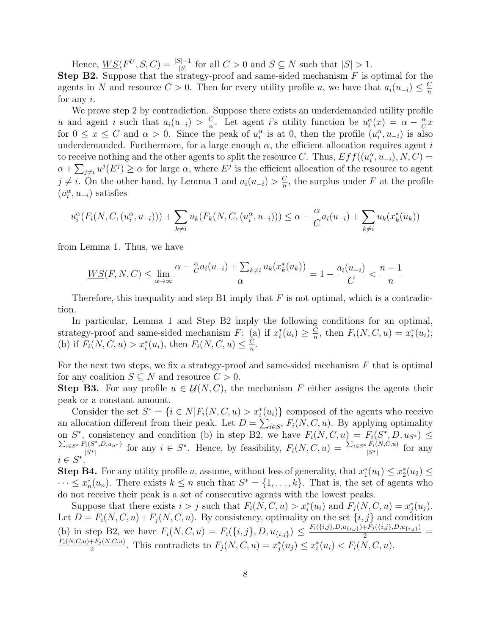Hence,  $\underline{WS}(F^U, S, C) = \frac{|S|-1}{|S|}$  for all  $C > 0$  and  $S \subseteq N$  such that  $|S| > 1$ .

**Step B2.** Suppose that the strategy-proof and same-sided mechanism  $F$  is optimal for the agents in N and resource  $C > 0$ . Then for every utility profile u, we have that  $a_i(u_{-i}) \leq \frac{C}{n}$ n for any i.

We prove step 2 by contradiction. Suppose there exists an underdemanded utility profile u and agent i such that  $a_i(u_{-i}) > \frac{C}{n}$  $\frac{C}{n}$ . Let agent *i*'s utility function be  $u_i^{\alpha}(x) = \alpha - \frac{\alpha}{C}$  $\frac{\alpha}{C}x$ for  $0 \le x \le C$  and  $\alpha > 0$ . Since the peak of  $u_i^{\alpha}$  is at 0, then the profile  $(u_i^{\alpha}, u_{-i})$  is also underdemanded. Furthermore, for a large enough  $\alpha$ , the efficient allocation requires agent i to receive nothing and the other agents to split the resource C. Thus,  $Eff((u_i^{\alpha}, u_{-i}), N, C) =$  $\alpha + \sum_{j \neq i} u^j(E^j) \geq \alpha$  for large  $\alpha$ , where  $E^j$  is the efficient allocation of the resource to agent  $j \neq i$ . On the other hand, by Lemma 1 and  $a_i(u_{-i}) > \frac{C}{n}$  $\frac{C}{n}$ , the surplus under F at the profile  $(u_i^{\alpha}, u_{-i})$  satisfies

$$
u_i^{\alpha}(F_i(N, C, (u_i^{\alpha}, u_{-i}))) + \sum_{k \neq i} u_k(F_k(N, C, (u_i^{\alpha}, u_{-i}))) \leq \alpha - \frac{\alpha}{C} a_i(u_{-i}) + \sum_{k \neq i} u_k(x_k^*(u_k))
$$

from Lemma 1. Thus, we have

$$
\underline{WS}(F, N, C) \le \lim_{\alpha \to \infty} \frac{\alpha - \frac{\alpha}{C} a_i(u_{-i}) + \sum_{k \neq i} u_k(x_k^*(u_k))}{\alpha} = 1 - \frac{a_i(u_{-i})}{C} < \frac{n-1}{n}
$$

Therefore, this inequality and step B1 imply that  $F$  is not optimal, which is a contradiction.

In particular, Lemma 1 and Step B2 imply the following conditions for an optimal, strategy-proof and same-sided mechanism F: (a) if  $x_i^*(u_i) \geq \frac{C}{n}$  $\frac{C}{n}$ , then  $F_i(N, C, u) = x_i^*(u_i);$ (b) if  $F_i(N, C, u) > x_i^*(u_i)$ , then  $F_i(N, C, u) \leq \frac{C}{n}$  $\frac{C}{n}$ .

For the next two steps, we fix a strategy-proof and same-sided mechanism  $F$  that is optimal for any coalition  $S \subseteq N$  and resource  $C > 0$ .

**Step B3.** For any profile  $u \in$ ¯  $\mathcal{U}(N, C)$ , the mechanism F either assigns the agents their peak or a constant amount.

Consider the set  $S^* = \{i \in N | F_i(N, C, u) > x_i^*(u_i) \}$  composed of the agents who receive an allocation different from their peak. Let  $D = \sum_{i \in S^*} F_i(N, C, u)$ . By applying optimality on  $S^*$ , consistency and condition (b) in step B2, we have  $F_i(N, C, u) = F_i(S^*$ on  $S^*$ , consistency and condition (b) in step B2, we have  $F_i(N, C, u) = F_i(S^*, D, u_{S^*}) \le \sum_{i \in S^*} F_i(S^*, D, u_{S^*})$  $_{i\in S^*} F_i(S^*, D, u_{S^*})$  $F_i(S^*, D, u_{S^*})$  for any  $i \in S^*$ . Hence, by feasibility,  $F_i(N, C, u) = \frac{\sum_{i \in S^*} F_i(N, C, u)}{|S^*|}$  $\frac{F_i(N, C, u)}{|S^*|}$  for any  $i \in S^*$ .

**Step B4.** For any utility profile u, assume, without loss of generality, that  $x_1^*(u_1) \leq x_2^*(u_2) \leq$  $\cdots \leq x_n^*(u_n)$ . There exists  $k \leq n$  such that  $S^* = \{1, \ldots, k\}$ . That is, the set of agents who do not receive their peak is a set of consecutive agents with the lowest peaks.

Suppose that there exists  $i > j$  such that  $F_i(N, C, u) > x_i^*(u_i)$  and  $F_j(N, C, u) = x_j^*(u_j)$ . Let  $D = F_i(N, C, u) + F_j(N, C, u)$ . By consistency, optimality on the set  $\{i, j\}$  and condition (b) in step B2, we have  $F_i(N, C, u) = F_i(\{i, j\}, D, u_{\{i, j\}}) \leq \frac{F_i(\{i, j\}, D, u_{\{i, j\}}) + F_j(\{i, j\}, D, u_{\{i, j\}})}{2} = F_i(N, C, u) - F_i(N, C, u) \leq F_i(N, C, u)$  $\frac{F+F_j(N,C,u)}{2}$ . This contradicts to  $F_j(N, C, u) = x_j^*(u_j) \leq x_i^*(u_i) < F_i(N, C, u)$ .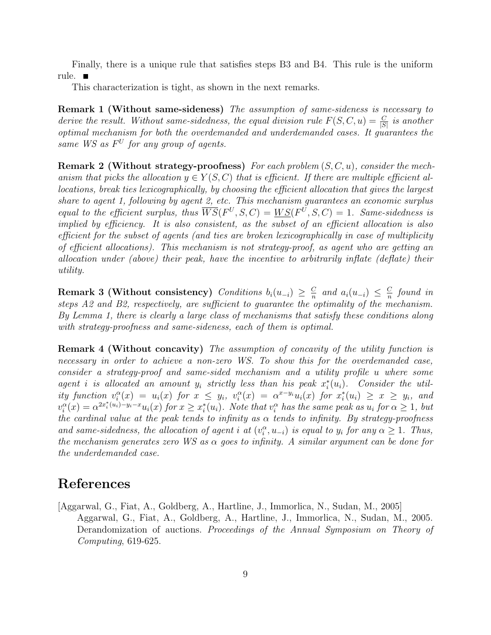Finally, there is a unique rule that satisfies steps B3 and B4. This rule is the uniform rule.

This characterization is tight, as shown in the next remarks.

Remark 1 (Without same-sideness) The assumption of same-sideness is necessary to derive the result. Without same-sidedness, the equal division rule  $F(S, C, u) = \frac{C}{|S|}$  is another optimal mechanism for both the overdemanded and underdemanded cases. It guarantees the same WS as  $F^U$  for any group of agents.

**Remark 2 (Without strategy-proofness)** For each problem  $(S, C, u)$ , consider the mechanism that picks the allocation  $y \in Y(S, C)$  that is efficient. If there are multiple efficient allocations, break ties lexicographically, by choosing the efficient allocation that gives the largest share to agent 1, following by agent 2, etc. This mechanism guarantees an economic surplus equal to the efficient surplus, thus  $\overline{WS}(F^U, S, C) = \underline{WS}(F^U, S, C) = 1$ . Same-sidedness is implied by efficiency. It is also consistent, as the subset of an efficient allocation is also efficient for the subset of agents (and ties are broken lexicographically in case of multiplicity of efficient allocations). This mechanism is not strategy-proof, as agent who are getting an allocation under (above) their peak, have the incentive to arbitrarily inflate (deflate) their utility.

Remark 3 (Without consistency) Conditions  $b_i(u_{-i}) \geq \frac{C_i}{n}$  $\frac{C}{n}$  and  $a_i(u_{-i}) \leq \frac{C}{n}$  $\frac{C}{n}$  found in steps A2 and B2, respectively, are sufficient to guarantee the optimality of the mechanism. By Lemma 1, there is clearly a large class of mechanisms that satisfy these conditions along with strategy-proofness and same-sideness, each of them is optimal.

Remark 4 (Without concavity) The assumption of concavity of the utility function is necessary in order to achieve a non-zero WS. To show this for the overdemanded case, consider a strategy-proof and same-sided mechanism and a utility profile u where some agent i is allocated an amount  $y_i$  strictly less than his peak  $x_i^*(u_i)$ . Consider the utility function  $v_i^{\alpha}(x) = u_i(x)$  for  $x \leq y_i$ ,  $v_i^{\alpha}(x) = \alpha^{x-y_i}u_i(x)$  for  $x_i^*(u_i) \geq x \geq y_i$ , and  $v_i^{\alpha}(x) = \alpha^{2x_i^*(u_i)-y_i-x} u_i(x)$  for  $x \geq x_i^*(u_i)$ . Note that  $v_i^{\alpha}$  has the same peak as  $u_i$  for  $\alpha \geq 1$ , but the cardinal value at the peak tends to infinity as  $\alpha$  tends to infinity. By strategy-proofness and same-sidedness, the allocation of agent i at  $(v_i^{\alpha}, u_{-i})$  is equal to  $y_i$  for any  $\alpha \geq 1$ . Thus, the mechanism generates zero WS as  $\alpha$  goes to infinity. A similar argument can be done for the underdemanded case.

# References

[Aggarwal, G., Fiat, A., Goldberg, A., Hartline, J., Immorlica, N., Sudan, M., 2005] Aggarwal, G., Fiat, A., Goldberg, A., Hartline, J., Immorlica, N., Sudan, M., 2005. Derandomization of auctions. Proceedings of the Annual Symposium on Theory of Computing, 619-625.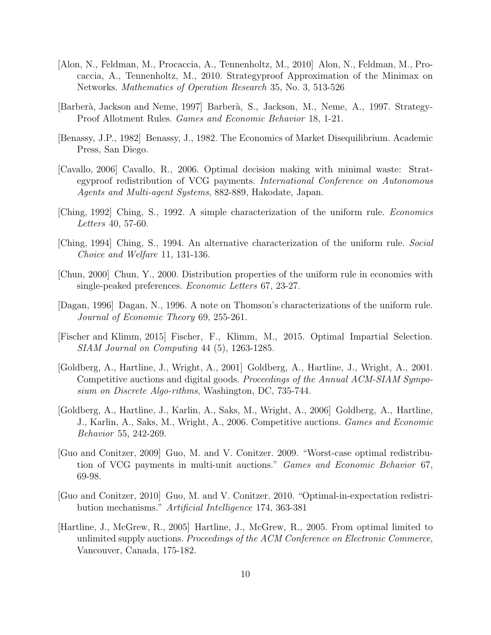- [Alon, N., Feldman, M., Procaccia, A., Tennenholtz, M., 2010] Alon, N., Feldman, M., Procaccia, A., Tennenholtz, M., 2010. Strategyproof Approximation of the Minimax on Networks. Mathematics of Operation Research 35, No. 3, 513-526
- [Barber`a, Jackson and Neme, 1997] Barber`a, S., Jackson, M., Neme, A., 1997. Strategy-Proof Allotment Rules. Games and Economic Behavior 18, 1-21.
- [Benassy, J.P., 1982] Benassy, J., 1982. The Economics of Market Disequilibrium. Academic Press, San Diego.
- [Cavallo, 2006] Cavallo, R., 2006. Optimal decision making with minimal waste: Strategyproof redistribution of VCG payments. International Conference on Autonomous Agents and Multi-agent Systems, 882-889, Hakodate, Japan.
- [Ching, 1992] Ching, S., 1992. A simple characterization of the uniform rule. Economics Letters 40, 57-60.
- [Ching, 1994] Ching, S., 1994. An alternative characterization of the uniform rule. Social Choice and Welfare 11, 131-136.
- [Chun, 2000] Chun, Y., 2000. Distribution properties of the uniform rule in economies with single-peaked preferences. Economic Letters 67, 23-27.
- [Dagan, 1996] Dagan, N., 1996. A note on Thomson's characterizations of the uniform rule. Journal of Economic Theory 69, 255-261.
- [Fischer and Klimm, 2015] Fischer, F., Klimm, M., 2015. Optimal Impartial Selection. SIAM Journal on Computing 44 (5), 1263-1285.
- [Goldberg, A., Hartline, J., Wright, A., 2001] Goldberg, A., Hartline, J., Wright, A., 2001. Competitive auctions and digital goods. Proceedings of the Annual ACM-SIAM Symposium on Discrete Algo-rithms, Washington, DC, 735-744.
- [Goldberg, A., Hartline, J., Karlin, A., Saks, M., Wright, A., 2006] Goldberg, A., Hartline, J., Karlin, A., Saks, M., Wright, A., 2006. Competitive auctions. Games and Economic Behavior 55, 242-269.
- [Guo and Conitzer, 2009] Guo, M. and V. Conitzer. 2009. "Worst-case optimal redistribution of VCG payments in multi-unit auctions." Games and Economic Behavior 67, 69-98.
- [Guo and Conitzer, 2010] Guo, M. and V. Conitzer. 2010. "Optimal-in-expectation redistribution mechanisms." Artificial Intelligence 174, 363-381
- [Hartline, J., McGrew, R., 2005] Hartline, J., McGrew, R., 2005. From optimal limited to unlimited supply auctions. Proceedings of the ACM Conference on Electronic Commerce, Vancouver, Canada, 175-182.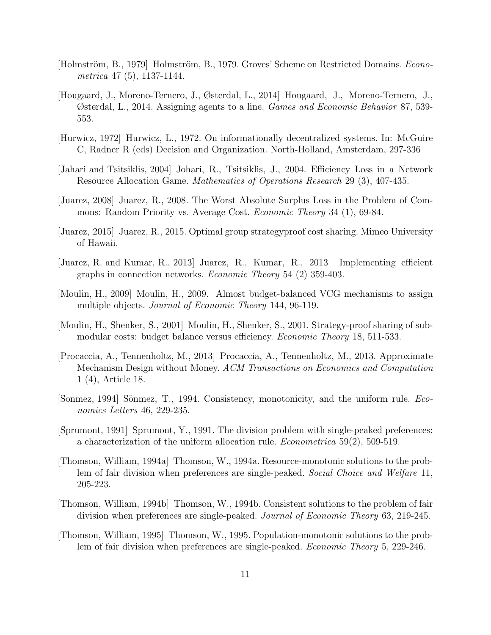- [Holmström, B., 1979] Holmström, B., 1979. Groves' Scheme on Restricted Domains. *Econo*metrica 47 (5), 1137-1144.
- [Hougaard, J., Moreno-Ternero, J., Østerdal, L., 2014] Hougaard, J., Moreno-Ternero, J., Østerdal, L., 2014. Assigning agents to a line. Games and Economic Behavior 87, 539- 553.
- [Hurwicz, 1972] Hurwicz, L., 1972. On informationally decentralized systems. In: McGuire C, Radner R (eds) Decision and Organization. North-Holland, Amsterdam, 297-336
- [Jahari and Tsitsiklis, 2004] Johari, R., Tsitsiklis, J., 2004. Efficiency Loss in a Network Resource Allocation Game. Mathematics of Operations Research 29 (3), 407-435.
- [Juarez, 2008] Juarez, R., 2008. The Worst Absolute Surplus Loss in the Problem of Commons: Random Priority vs. Average Cost. *Economic Theory* 34 (1), 69-84.
- [Juarez, 2015] Juarez, R., 2015. Optimal group strategyproof cost sharing. Mimeo University of Hawaii.
- [Juarez, R. and Kumar, R., 2013] Juarez, R., Kumar, R., 2013 Implementing efficient graphs in connection networks. Economic Theory 54 (2) 359-403.
- [Moulin, H., 2009] Moulin, H., 2009. Almost budget-balanced VCG mechanisms to assign multiple objects. *Journal of Economic Theory* 144, 96-119.
- [Moulin, H., Shenker, S., 2001] Moulin, H., Shenker, S., 2001. Strategy-proof sharing of submodular costs: budget balance versus efficiency. *Economic Theory* 18, 511-533.
- [Procaccia, A., Tennenholtz, M., 2013] Procaccia, A., Tennenholtz, M., 2013. Approximate Mechanism Design without Money. ACM Transactions on Economics and Computation 1 (4), Article 18.
- [Sonmez, 1994] Sönmez, T., 1994. Consistency, monotonicity, and the uniform rule. Economics Letters 46, 229-235.
- [Sprumont, 1991] Sprumont, Y., 1991. The division problem with single-peaked preferences: a characterization of the uniform allocation rule. Econometrica 59(2), 509-519.
- [Thomson, William, 1994a] Thomson, W., 1994a. Resource-monotonic solutions to the problem of fair division when preferences are single-peaked. Social Choice and Welfare 11, 205-223.
- [Thomson, William, 1994b] Thomson, W., 1994b. Consistent solutions to the problem of fair division when preferences are single-peaked. Journal of Economic Theory 63, 219-245.
- [Thomson, William, 1995] Thomson, W., 1995. Population-monotonic solutions to the problem of fair division when preferences are single-peaked. Economic Theory 5, 229-246.